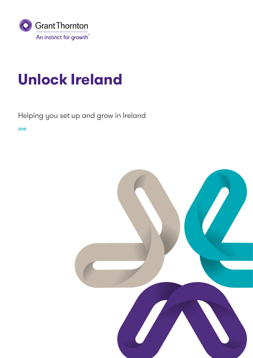

## **Unlock Ireland**

## Helping you set up and grow in Ireland

**2018**

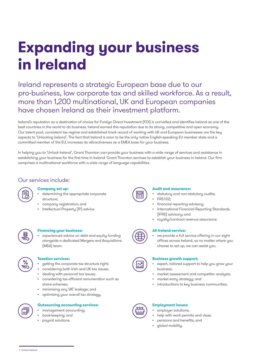## **Expanding your business in Ireland**

Ireland represents a strategic European base due to our pro-business, low corporate tax and skilled workforce. As a result, more than 1,200 multinational, UK and European companies have chosen Ireland as their investment platform.

Ireland's reputation as a destination of choice for Foreign Direct Investment (FDI) is unrivalled and identifies Ireland as one of the best countries in the world to do business. Ireland earned this reputation due to its strong, competitive and open economy. Our talent pool, consistent tax regime and established track record of working with UK and European businesses are the key aspects to 'Unlocking Ireland'. The fact that Ireland is soon to be the only native English-speaking EU member state and a committed member of the EU, increases its attractiveness as a EMEA base for your business.

In helping you to 'Unlock Ireland', Grant Thornton can provide your business with a wide range of services and assistance in establishing your business for the first time in Ireland. Grant Thornton services to establish your business in Ireland. Our firm comprises a multinational workforce with a wide range of language capabilities.

## Our services include:



### **Company set up:**

- determining the appropriate corporate structure;
- company registration; and
- Intellectual Property (IP) advice.



### **Financing your business:**

• experienced advice on debt and equity funding alongside a dedicated Mergers and Acquisitions (M&A) team.



## **Taxation services:**

- getting the corporate tax structure right;
- considering both Irish and UK tax issues;
- dealing with personal tax issues;
- considering tax efficient remuneration such as share schemes;
- minimising any VAT leakage; and
- optimising your overall tax strategy.



### **Outsourcing accounting services:**

- management accounting;
- book-keeping; and
- payroll solutions.



#### **Audit and assurance:**

- statutory and non-statutory audits;
- FRS102;
- financial reporting advisory;
- International Financial Reporting Standards (IFRS) advisory; and
- royalty/contract revenue assurance.

## **All Ireland service:**

• we provide a full service offering in our eight offices across Ireland, so no matter where you choose to set up, we can assist you.

## **Business growth support:**

- expert, tailored support to help you grow your business;
- market assessment and competitor analysis;
- market entry strategy; and
- introductions to key business communities.



## **Employment issues:**

- employer solutions;
- help with work permits and visas;
- pensions and benefits; and
- global mobility.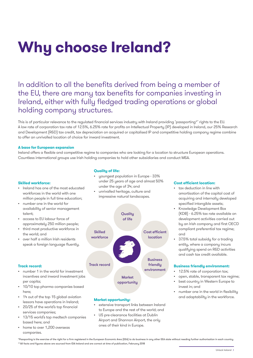# **Why choose Ireland?**

In addition to all the benefits derived from being a member of the EU, there are many tax benefits for companies investing in Ireland, either with fully fledged trading operations or global holding company structures.

This is of particular relevance to the regulated financial services industry with Ireland providing 'passporting\*' rights to the EU. A low rate of corporation tax rate of 12.5%, 6.25% rate for profits on Intellectual Property (IP) developed in Ireland, our 25% Research and Development (R&D) tax credit, tax depreciation on acquired or capitalised IP and competitive holding company regime combine to offer an unrivalled location of choice for inward investment.

#### **A base for European expansion**

Ireland offers a flexible and competitive regime to companies who are looking for a location to structure European operations. Countless international groups use Irish holding companies to hold other subsidiaries and conduct M&A.

#### **Quality of life:**

#### **Skilled workforce:**

- Ireland has one of the most educated workforces in the world with one million people in full time education;
- number one in the world for availability of senior management talent;
- access to EU labour force of approximately 250 million people;
- third most productive workforce in the world; and
- over half a million Irish residents speak a foreign language fluently.

#### **Track record:**

- number 1 in the world for investment incentives and inward investment jobs per capita;
- 10/10 top pharma companies based here;
- 14 out of the top 15 global aviation lessors have operations in Ireland;
- 20/25 of the world's top financial services companies;
- 13/15 world's top medtech companies based here; and
- home to over 1,200 overseas companies.
- youngest population in Europe 33% under 25 years of age and almost 50% under the age of 34; and
- unrivalled heritage, culture and impressive natural landscapes.



#### **Market opportunity:**

- extensive transport links between Ireland to Europe and the rest of the world; and
- US pre-clearance facilities at Dublin Airport and Shannon Airport, the only ones of their kind in Europe.

#### **Cost efficient location:**

- tax deduction in line with amortisation of the capital cost of acquiring and internally developed specified intangible assets;
- Knowledge Development Box (KDB) - 6.25% tax rate available on development activities carried out by an Irish company and first OECD compliant preferential tax regime; and
- 37.5% total subsidy for a trading entity, where a company incurs qualifying spend on R&D activities and cash tax credit available.

#### **Business friendly environment:**

- 12.5% rate of corporation tax;
- open, stable, transparent tax regime;
- best country in Western Europe to invest in; and
- number one in the world in flexibility and adaptability in the workforce.

\*Passporting is the exercise of the right for a firm registered in the European Economic Area (EEA) to do business in any other EEA state without needing further authorisation in each country. \*\*All facts and figures above are sourced from IDA Ireland and are correct at time of publication, February 2018